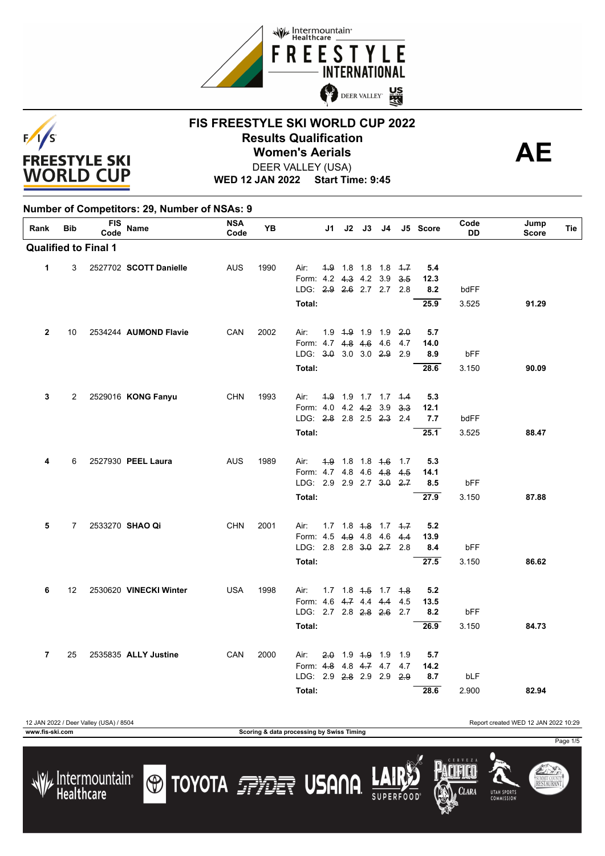



**WED 12 JAN 2022 Start Time: 9:45**

| Rank         | <b>Bib</b>        | <b>FIS</b><br>Code          | <b>Name</b>            | <b>NSA</b><br>Code | YB   |                              | J1  | $J2$ $J3$   | J4                                        |            | J5 Score    | Code<br>DD | Jump<br><b>Score</b> | Tie |
|--------------|-------------------|-----------------------------|------------------------|--------------------|------|------------------------------|-----|-------------|-------------------------------------------|------------|-------------|------------|----------------------|-----|
|              |                   | <b>Qualified to Final 1</b> |                        |                    |      |                              |     |             |                                           |            |             |            |                      |     |
| 1            | 3                 |                             | 2527702 SCOTT Danielle | <b>AUS</b>         | 1990 | Air:                         |     |             | $4.9$ 1.8 1.8 1.8 $4.7$                   |            | 5.4         |            |                      |     |
|              |                   |                             |                        |                    |      | Form: 4.2                    |     | 4.3 4.2 3.9 |                                           | 3.5        | 12.3        |            |                      |     |
|              |                   |                             |                        |                    |      | LDG: 2.9 2.6 2.7 2.7         |     |             |                                           | 2.8        | 8.2         | bdFF       |                      |     |
|              |                   |                             |                        |                    |      | Total:                       |     |             |                                           |            | 25.9        | 3.525      | 91.29                |     |
| $\mathbf{2}$ | 10                |                             | 2534244 AUMOND Flavie  | CAN                | 2002 | Air:                         |     |             | 1.9 <del>1.9</del> 1.9 1.9 <del>2.0</del> |            | 5.7         |            |                      |     |
|              |                   |                             |                        |                    |      | Form: 4.7 4.8 4.6 4.6        |     |             |                                           | 4.7        | 14.0        |            |                      |     |
|              |                   |                             |                        |                    |      | LDG: 3.0 3.0 3.0 2.9         |     |             |                                           | 2.9        | 8.9         | bFF        |                      |     |
|              |                   |                             |                        |                    |      | Total:                       |     |             |                                           |            | 28.6        | 3.150      | 90.09                |     |
| 3            | 2                 |                             | 2529016 KONG Fanyu     | <b>CHN</b>         | 1993 | Air:                         |     |             | 4.9 1.9 1.7 1.7 4.4                       |            | 5.3         |            |                      |     |
|              |                   |                             |                        |                    |      | Form: 4.0 4.2 4.2 3.9        |     |             |                                           | 3.3        | 12.1        |            |                      |     |
|              |                   |                             |                        |                    |      | LDG: 2.8 2.8 2.5 2.3 2.4     |     |             |                                           |            | 7.7         | bdFF       |                      |     |
|              |                   |                             |                        |                    |      | Total:                       |     |             |                                           |            | 25.1        | 3.525      | 88.47                |     |
| 4            | 6                 |                             | 2527930 PEEL Laura     | <b>AUS</b>         | 1989 | Air:                         |     |             | 4.9 1.8 1.8 4.6                           | 1.7        | 5.3         |            |                      |     |
|              |                   |                             |                        |                    |      | Form: 4.7 4.8 4.6 4.8        |     |             |                                           | 4.5        | 14.1        |            |                      |     |
|              |                   |                             |                        |                    |      | LDG: 2.9 2.9 2.7 3.0 2.7     |     |             |                                           |            | 8.5         | bFF        |                      |     |
|              |                   |                             |                        |                    |      | Total:                       |     |             |                                           |            | 27.9        | 3.150      | 87.88                |     |
| 5            | 7                 |                             | 2533270 SHAO Qi        | <b>CHN</b>         | 2001 | Air:                         | 1.7 |             | $1.8 + 8 + 1.7$                           | 4.7        | 5.2         |            |                      |     |
|              |                   |                             |                        |                    |      | Form: 4.5 4.9 4.8            |     |             | 4.6                                       | 4.4        | 13.9        |            |                      |     |
|              |                   |                             |                        |                    |      | LDG: $2.8$ $2.8$ $3.0$ $2.7$ |     |             |                                           | 2.8        | 8.4         | bFF        |                      |     |
|              |                   |                             |                        |                    |      | Total:                       |     |             |                                           |            | 27.5        | 3.150      | 86.62                |     |
| 6            | $12 \overline{ }$ |                             | 2530620 VINECKI Winter | <b>USA</b>         | 1998 | Air:                         | 1.7 |             | $1.8$ $1.5$ $1.7$ $1.8$                   |            | 5.2         |            |                      |     |
|              |                   |                             |                        |                    |      | Form: 4.6 4.7 4.4 4.4        |     |             |                                           | 4.5        | 13.5        |            |                      |     |
|              |                   |                             |                        |                    |      | LDG: 2.7 2.8 2.8 2.6         |     |             |                                           | - 2.7      | 8.2         | bFF        |                      |     |
|              |                   |                             |                        |                    |      | Total:                       |     |             |                                           |            | 26.9        | 3.150      | 84.73                |     |
| 7            | 25                |                             | 2535835 ALLY Justine   | CAN                | 2000 | Air:                         | 2.0 |             | 1.9 <del>1.9</del> 1.9                    | 1.9        | 5.7         |            |                      |     |
|              |                   |                             |                        |                    |      | Form: 4.8                    |     |             | $4.8$ $4.7$ $4.7$                         | 4.7<br>2.9 | 14.2<br>8.7 | bLF        |                      |     |
|              |                   |                             |                        |                    |      | LDG: 2.9 2.8 2.9 2.9         |     |             |                                           |            |             |            |                      |     |
|              |                   |                             |                        |                    |      | Total:                       |     |             |                                           |            | 28.6        | 2.900      | 82.94                |     |

**www.fis-ski.com Scoring & data processing by Swiss Timing**

**O TOYOTA FRIET USANA** 

12 JAN 2022 / Deer Valley (USA) / 8504 Report created WED 12 JAN 2022 10:29

**CLARA** 

UTAH SPORTS

Page 1/5

SUMMIT COUNTY<br>**RESTAURANT** 

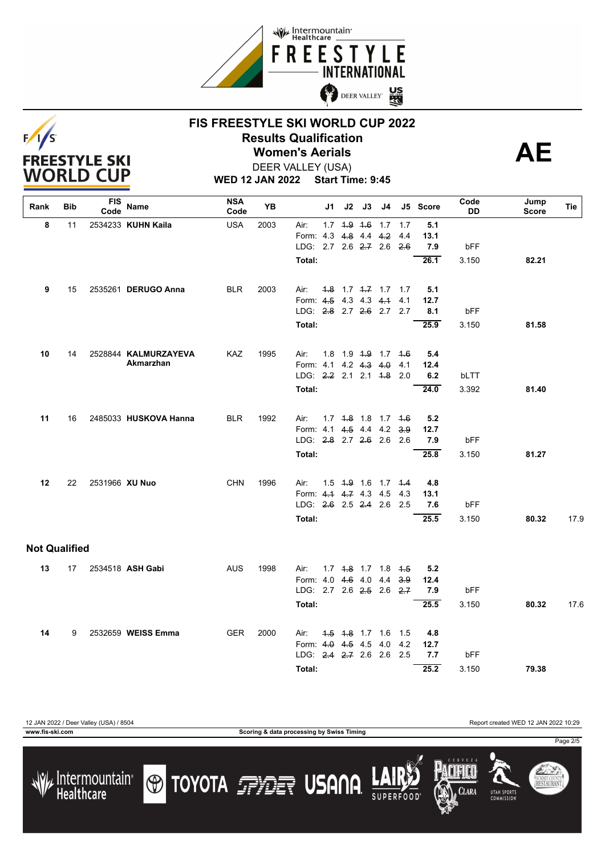



**WED 12 JAN 2022 Start Time: 9:45** DEER VALLEY (USA)

| Rank                 | Bib | <b>FIS</b><br>Code | Name                  | <b>NSA</b><br>Code | YB   |                                   | J1 | J2                | J3 | J4                             |     | J5 Score    | Code<br>DD | Jump<br>Score | Tie             |
|----------------------|-----|--------------------|-----------------------|--------------------|------|-----------------------------------|----|-------------------|----|--------------------------------|-----|-------------|------------|---------------|-----------------|
| 8                    | 11  |                    | 2534233 KUHN Kaila    | <b>USA</b>         | 2003 | Air:                              |    | $1.7$ $1.9$ $1.6$ |    | 1.7                            | 1.7 | 5.1         |            |               |                 |
|                      |     |                    |                       |                    |      | Form: 4.3 4.8 4.4 4.2             |    |                   |    |                                | 4.4 | 13.1        |            |               |                 |
|                      |     |                    |                       |                    |      | LDG: 2.7 2.6 2.7 2.6              |    |                   |    |                                | 2.6 | 7.9         | bFF        |               |                 |
|                      |     |                    |                       |                    |      | Total:                            |    |                   |    |                                |     | 26.1        | 3.150      | 82.21         |                 |
| 9                    | 15  |                    | 2535261 DERUGO Anna   | <b>BLR</b>         | 2003 | Air:                              |    |                   |    | 4.8 1.7 4.7 1.7 1.7            |     | 5.1         |            |               |                 |
|                      |     |                    |                       |                    |      | Form: 4.5 4.3 4.3 4.1             |    |                   |    |                                | 4.1 | 12.7        |            |               |                 |
|                      |     |                    |                       |                    |      | LDG: 2.8 2.7 2.6 2.7 2.7          |    |                   |    |                                |     | 8.1         | bFF        |               |                 |
|                      |     |                    |                       |                    |      | Total:                            |    |                   |    |                                |     | 25.9        | 3.150      | 81.58         |                 |
| 10                   | 14  |                    | 2528844 KALMURZAYEVA  | <b>KAZ</b>         | 1995 | Air:                              |    |                   |    | 1.8 1.9 <del>1.9</del> 1.7 4.6 |     | 5.4         |            |               |                 |
|                      |     |                    | Akmarzhan             |                    |      | Form: 4.1 4.2 4.3 4.0             |    |                   |    |                                | 4.1 | 12.4        |            |               |                 |
|                      |     |                    |                       |                    |      | LDG: 2.2 2.1 2.1 4.8              |    |                   |    |                                | 2.0 | 6.2         | bLTT       |               |                 |
|                      |     |                    |                       |                    |      | Total:                            |    |                   |    |                                |     | 24.0        | 3.392      | 81.40         |                 |
| 11                   | 16  |                    | 2485033 HUSKOVA Hanna | <b>BLR</b>         | 1992 | Air:                              |    |                   |    | $1.7$ $1.8$ $1.8$ $1.7$ $1.6$  |     | 5.2         |            |               |                 |
|                      |     |                    |                       |                    |      | Form: 4.1 4.5 4.4 4.2             |    |                   |    |                                | 3.9 | 12.7        |            |               |                 |
|                      |     |                    |                       |                    |      | LDG: 2.8 2.7 2.6 2.6 2.6          |    |                   |    |                                |     | 7.9         | bFF        |               |                 |
|                      |     |                    |                       |                    |      | Total:                            |    |                   |    |                                |     | 25.8        | 3.150      | 81.27         |                 |
|                      |     |                    |                       |                    |      |                                   |    |                   |    |                                |     |             |            |               |                 |
| 12                   | 22  | 2531966 XU Nuo     |                       | <b>CHN</b>         | 1996 | Air:<br>Form: 4.1 4.7 4.3 4.5 4.3 |    |                   |    | 1.5 4.9 1.6 1.7 4.4            |     | 4.8<br>13.1 |            |               |                 |
|                      |     |                    |                       |                    |      | LDG: 2.6 2.5 2.4 2.6 2.5          |    |                   |    |                                |     | 7.6         | bFF        |               |                 |
|                      |     |                    |                       |                    |      | Total:                            |    |                   |    |                                |     | 25.5        | 3.150      | 80.32         | 17 <sub>c</sub> |
| <b>Not Qualified</b> |     |                    |                       |                    |      |                                   |    |                   |    |                                |     |             |            |               |                 |
|                      |     |                    |                       |                    |      |                                   |    |                   |    |                                |     |             |            |               |                 |
| 13                   | 17  |                    | 2534518 ASH Gabi      | <b>AUS</b>         | 1998 | Air:                              |    |                   |    | 1.7 4.8 1.7 1.8 4.5            |     | 5.2         |            |               |                 |
|                      |     |                    |                       |                    |      | Form: 4.0 4.6 4.0 4.4             |    |                   |    |                                | 3.9 | 12.4        |            |               |                 |
|                      |     |                    |                       |                    |      | LDG: 2.7 2.6 2.5 2.6 2.7          |    |                   |    |                                |     | 7.9         | bFF        |               |                 |
|                      |     |                    |                       |                    |      | Total:                            |    |                   |    |                                |     | 25.5        | 3.150      | 80.32         | 17.6            |
| 14                   | 9   |                    | 2532659 WEISS Emma    | <b>GER</b>         | 2000 | Air:                              |    |                   |    | <del>1.5</del> 4.8 1.7 1.6 1.5 |     | 4.8         |            |               |                 |
|                      |     |                    |                       |                    |      | Form: 4.0 4.5 4.5 4.0             |    |                   |    |                                | 4.2 | 12.7        |            |               |                 |
|                      |     |                    |                       |                    |      | LDG: 2.4 2.7 2.6 2.6 2.5          |    |                   |    |                                |     | 7.7         | bFF        |               |                 |
|                      |     |                    |                       |                    |      | Total:                            |    |                   |    |                                |     | 25.2        | 3.150      | 79.38         |                 |

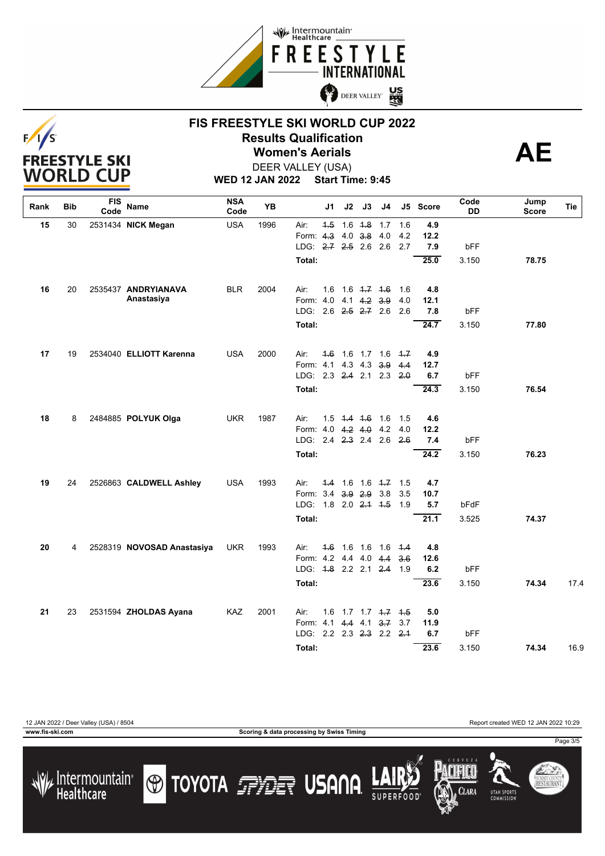





DEER VALLEY (USA)

**WED 12 JAN 2022 Start Time: 9:45**

| Rank | Bib | FIS<br>Code | Name                       | <b>NSA</b><br>Code | YB   | J1                            | J2                           | J3                            | J4  |            | J5 Score    | Code<br>DD | Jump<br>Score | Tie  |
|------|-----|-------------|----------------------------|--------------------|------|-------------------------------|------------------------------|-------------------------------|-----|------------|-------------|------------|---------------|------|
| 15   | 30  |             | 2531434 NICK Megan         | <b>USA</b>         | 1996 | Air:                          | $4.5$ 1.6 $4.8$ 1.7          |                               |     | 1.6        | 4.9         |            |               |      |
|      |     |             |                            |                    |      | Form: 4.3 4.0 3.8 4.0         |                              |                               |     | 4.2        | 12.2        |            |               |      |
|      |     |             |                            |                    |      | LDG: 2.7 2.5 2.6 2.6          |                              |                               |     | 2.7        | 7.9         | bFF        |               |      |
|      |     |             |                            |                    |      | Total:                        |                              |                               |     |            | 25.0        | 3.150      | 78.75         |      |
| 16   | 20  |             | 2535437 ANDRYIANAVA        | <b>BLR</b>         | 2004 | Air:<br>1.6                   |                              | $1.6$ $1.7$ $1.6$             |     | 1.6        | 4.8         |            |               |      |
|      |     |             | Anastasiya                 |                    |      | Form: 4.0 4.1 4.2 3.9         |                              |                               |     | 4.0        | 12.1        |            |               |      |
|      |     |             |                            |                    |      | LDG: 2.6 2.5 2.7 2.6          |                              |                               |     | 2.6        | 7.8         | bFF        |               |      |
|      |     |             |                            |                    |      | Total:                        |                              |                               |     |            | 24.7        | 3.150      | 77.80         |      |
| 17   | 19  |             | 2534040 ELLIOTT Karenna    | <b>USA</b>         | 2000 | Air:                          | 4.6 1.6 1.7 1.6 4.7          |                               |     |            | 4.9         |            |               |      |
|      |     |             |                            |                    |      | Form: 4.1 4.3 4.3             |                              |                               | 3.9 | 4.4        | 12.7        |            |               |      |
|      |     |             |                            |                    |      | LDG: 2.3 2.4 2.1 2.3          |                              |                               |     | 20         | 6.7         | bFF        |               |      |
|      |     |             |                            |                    |      | Total:                        |                              |                               |     |            | 24.3        | 3.150      | 76.54         |      |
| 18   | 8   |             | 2484885 POLYUK Olga        | <b>UKR</b>         | 1987 | Air:                          | $1.5$ 4.4 4.6 1.6            |                               |     | 1.5        | 4.6         |            |               |      |
|      |     |             |                            |                    |      | Form: 4.0 4.2 4.0 4.2 4.0     |                              |                               |     |            | 12.2        |            |               |      |
|      |     |             |                            |                    |      | LDG: 2.4 2.3 2.4 2.6          |                              |                               |     | 2.6        | 7.4         | bFF        |               |      |
|      |     |             |                            |                    |      | Total:                        |                              |                               |     |            | 24.2        | 3.150      | 76.23         |      |
|      |     |             |                            |                    |      |                               |                              |                               |     |            |             |            |               |      |
| 19   | 24  |             | 2526863 CALDWELL Ashley    | <b>USA</b>         | 1993 | Air:<br>Form: 3.4 3.9 2.9 3.8 | $4.4$ 1.6 1.6 $4.7$          |                               |     | 1.5<br>3.5 | 4.7         |            |               |      |
|      |     |             |                            |                    |      | LDG:                          | $1.8$ 2.0 <del>2.1</del> 4.5 |                               |     | 1.9        | 10.7<br>5.7 | bFdF       |               |      |
|      |     |             |                            |                    |      |                               |                              |                               |     |            |             |            |               |      |
|      |     |             |                            |                    |      | Total:                        |                              |                               |     |            | 21.1        | 3.525      | 74.37         |      |
| 20   | 4   |             | 2528319 NOVOSAD Anastasiya | <b>UKR</b>         | 1993 | Air:                          | 4.6 1.6 1.6 1.6 4.4          |                               |     |            | 4.8         |            |               |      |
|      |     |             |                            |                    |      | Form: 4.2 4.4 4.0 4.4         |                              |                               |     | 3.6        | 12.6        |            |               |      |
|      |     |             |                            |                    |      | LDG: 4.8 2.2 2.1 2.4 1.9      |                              |                               |     |            | 6.2         | bFF        |               |      |
|      |     |             |                            |                    |      | Total:                        |                              |                               |     |            | 23.6        | 3.150      | 74.34         | 17.4 |
| 21   | 23  |             | 2531594 ZHOLDAS Ayana      | KAZ                | 2001 | Air:<br>1.6                   |                              | $1.7$ $1.7$ $1.7$ $1.7$ $1.5$ |     |            | 5.0         |            |               |      |
|      |     |             |                            |                    |      | Form: 4.1 4.4 4.1 3.7 3.7     |                              |                               |     |            | 11.9        |            |               |      |
|      |     |             |                            |                    |      | LDG: 2.2 2.3 2.3 2.2 2.4      |                              |                               |     |            | 6.7         | bFF        |               |      |
|      |     |             |                            |                    |      | Total:                        |                              |                               |     |            | 23.6        | 3.150      | 74.34         | 16.9 |

/ Intermountain<br>Healthcare

**www.fis-ski.com Scoring & data processing by Swiss Timing**







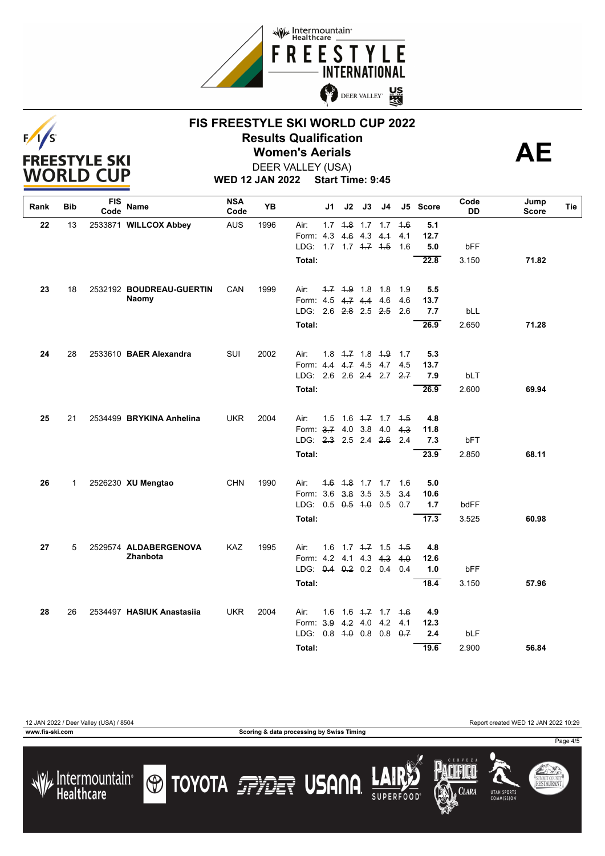





DEER VALLEY (USA)

**WED 12 JAN 2022 Start Time: 9:45**

| Rank | Bib         | <b>FIS</b><br>Code | Name                      | <b>NSA</b><br>Code | YB   |                                           | J1  | J2                    | J3          | J4                      |            | J5 Score    | Code<br>DD | Jump<br>Score | Tie |
|------|-------------|--------------------|---------------------------|--------------------|------|-------------------------------------------|-----|-----------------------|-------------|-------------------------|------------|-------------|------------|---------------|-----|
| 22   | 13          |                    | 2533871 WILLCOX Abbey     | <b>AUS</b>         | 1996 | Air:                                      |     |                       |             | $1.7$ $4.8$ $1.7$ $1.7$ | 4.6        | 5.1         |            |               |     |
|      |             |                    |                           |                    |      | Form: 4.3                                 |     |                       | 4.6 4.3 4.4 |                         | 4.1        | 12.7        |            |               |     |
|      |             |                    |                           |                    |      | LDG: 1.7 1.7 4.7 4.5                      |     |                       |             |                         | 1.6        | 5.0         | bFF        |               |     |
|      |             |                    |                           |                    |      | Total:                                    |     |                       |             |                         |            | 22.8        | 3.150      | 71.82         |     |
| 23   | 18          |                    | 2532192 BOUDREAU-GUERTIN  | CAN                | 1999 | Air:                                      |     | $-1.7$ $-1.9$ 1.8 1.8 |             |                         | 1.9        | 5.5         |            |               |     |
|      |             |                    | Naomy                     |                    |      | Form: 4.5 4.7 4.4 4.6                     |     |                       |             |                         | 4.6        | 13.7        |            |               |     |
|      |             |                    |                           |                    |      | LDG: 2.6 2.8 2.5 2.5                      |     |                       |             |                         | 2.6        | 7.7         | bLL        |               |     |
|      |             |                    |                           |                    |      | Total:                                    |     |                       |             |                         |            | 26.9        | 2.650      | 71.28         |     |
| 24   | 28          |                    | 2533610 BAER Alexandra    | SUI                | 2002 | Air:                                      |     |                       |             | $1.8$ $4.7$ $1.8$ $4.9$ | 1.7        | 5.3         |            |               |     |
|      |             |                    |                           |                    |      | Form: 4.4 4.7 4.5 4.7                     |     |                       |             |                         | 4.5        | 13.7        |            |               |     |
|      |             |                    |                           |                    |      | LDG 2.6 2.6 2.4 2.7                       |     |                       |             |                         | 2.7        | 7.9         | bLT        |               |     |
|      |             |                    |                           |                    |      | Total:                                    |     |                       |             |                         |            | 26.9        | 2.600      | 69.94         |     |
| 25   | 21          |                    | 2534499 BRYKINA Anhelina  | <b>UKR</b>         | 2004 | Air:                                      | 1.5 |                       |             | $1.6$ $4.7$ $1.7$ $4.5$ |            | 4.8         |            |               |     |
|      |             |                    |                           |                    |      | Form: 3.7 4.0 3.8 4.0                     |     |                       |             |                         | 4.3        | 11.8        |            |               |     |
|      |             |                    |                           |                    |      | LDG: 2.3 2.5 2.4 2.6                      |     |                       |             |                         | 2.4        | 7.3         | bFT        |               |     |
|      |             |                    |                           |                    |      | Total:                                    |     |                       |             |                         |            | 23.9        | 2.850      | 68.11         |     |
|      |             |                    |                           |                    |      |                                           |     |                       |             |                         |            |             |            |               |     |
| 26   | $\mathbf 1$ |                    | 2526230 XU Mengtao        | <b>CHN</b>         | 1990 | Air:                                      |     |                       |             | $4.6$ $4.8$ 1.7 1.7     | 1.6        | 5.0         |            |               |     |
|      |             |                    |                           |                    |      | Form: 3.6 3.8 3.5<br>LDG: 0.5 0.5 4.0 0.5 |     |                       |             | 3.5                     | 3.4<br>0.7 | 10.6<br>1.7 | bdFF       |               |     |
|      |             |                    |                           |                    |      |                                           |     |                       |             |                         |            |             |            |               |     |
|      |             |                    |                           |                    |      | Total:                                    |     |                       |             |                         |            | 17.3        | 3.525      | 60.98         |     |
| 27   | 5           |                    | 2529574 ALDABERGENOVA     | KAZ                | 1995 | Air:                                      | 1.6 |                       |             | $1.7$ $4.7$ $1.5$       | $+5$       | 4.8         |            |               |     |
|      |             |                    | <b>Zhanbota</b>           |                    |      | Form: 4.2 4.1 4.3 4.3                     |     |                       |             |                         | 4.0        | 12.6        |            |               |     |
|      |             |                    |                           |                    |      | LDG: 0.4 0.2 0.2 0.4                      |     |                       |             |                         | 0.4        | 1.0         | bFF        |               |     |
|      |             |                    |                           |                    |      | Total:                                    |     |                       |             |                         |            | 18.4        | 3.150      | 57.96         |     |
| 28   | 26          |                    | 2534497 HASIUK Anastasija | <b>UKR</b>         | 2004 | Air:                                      | 1.6 |                       |             | 1.6 <del>1.7</del> 1.7  | 4.6        | 4.9         |            |               |     |
|      |             |                    |                           |                    |      | Form: 3.9                                 |     | $4.2$ 4.0             |             | 4.2                     | 4.1        | 12.3        |            |               |     |
|      |             |                    |                           |                    |      | LDG: $0.8 + 0.8 + 0.8 + 0.8$              |     |                       |             |                         | 0.7        | 2.4         | bLF        |               |     |
|      |             |                    |                           |                    |      | Total:                                    |     |                       |             |                         |            | 19.6        | 2.900      | 56.84         |     |

12 JAN 2022 / Deer Valley (USA) / 8504 Report created WED 12 JAN 2022 10:29

**www.fis-ski.com Scoring & data processing by Swiss Timing**

**CLARA** 

**UTAH SPORT** 

Page 4/5

SUMMIT COUNTY<br>**RESTAURANT**